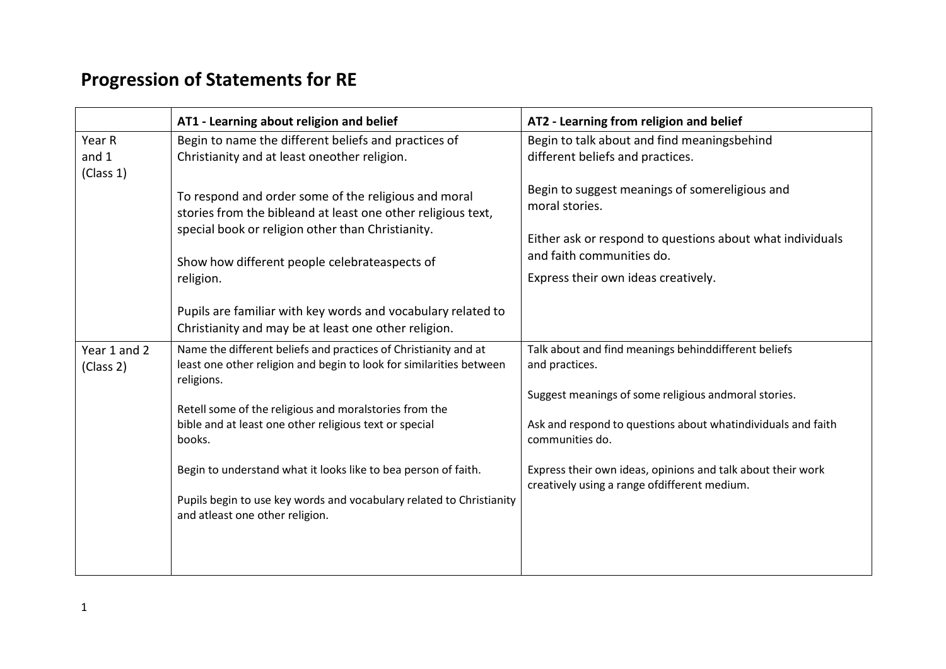## **Progression of Statements for RE**

|                           | AT1 - Learning about religion and belief                                                                                                                                                                                                | AT2 - Learning from religion and belief                                                                                                                                                           |
|---------------------------|-----------------------------------------------------------------------------------------------------------------------------------------------------------------------------------------------------------------------------------------|---------------------------------------------------------------------------------------------------------------------------------------------------------------------------------------------------|
| Year R                    | Begin to name the different beliefs and practices of                                                                                                                                                                                    | Begin to talk about and find meaningsbehind                                                                                                                                                       |
| and $1$<br>(Class 1)      | Christianity and at least oneother religion.                                                                                                                                                                                            | different beliefs and practices.                                                                                                                                                                  |
|                           | To respond and order some of the religious and moral<br>stories from the bibleand at least one other religious text,<br>special book or religion other than Christianity.<br>Show how different people celebrateaspects of<br>religion. | Begin to suggest meanings of somereligious and<br>moral stories.<br>Either ask or respond to questions about what individuals<br>and faith communities do.<br>Express their own ideas creatively. |
|                           | Pupils are familiar with key words and vocabulary related to<br>Christianity and may be at least one other religion.                                                                                                                    |                                                                                                                                                                                                   |
| Year 1 and 2<br>(Class 2) | Name the different beliefs and practices of Christianity and at<br>least one other religion and begin to look for similarities between<br>religions.                                                                                    | Talk about and find meanings behinddifferent beliefs<br>and practices.                                                                                                                            |
|                           | Retell some of the religious and moralstories from the                                                                                                                                                                                  | Suggest meanings of some religious andmoral stories.                                                                                                                                              |
|                           | bible and at least one other religious text or special<br>books.                                                                                                                                                                        | Ask and respond to questions about whatindividuals and faith<br>communities do.                                                                                                                   |
|                           | Begin to understand what it looks like to bea person of faith.                                                                                                                                                                          | Express their own ideas, opinions and talk about their work<br>creatively using a range ofdifferent medium.                                                                                       |
|                           | Pupils begin to use key words and vocabulary related to Christianity<br>and atleast one other religion.                                                                                                                                 |                                                                                                                                                                                                   |
|                           |                                                                                                                                                                                                                                         |                                                                                                                                                                                                   |